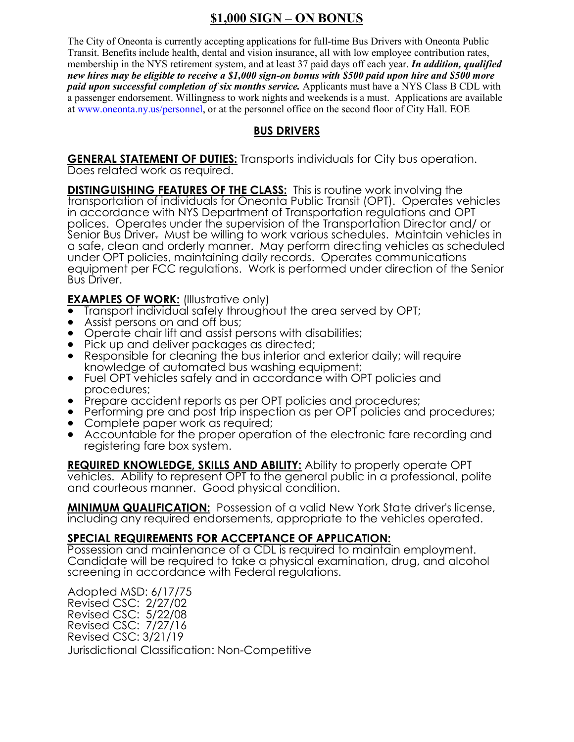# **\$1,000 SIGN – ON BONUS**

The City of Oneonta is currently accepting applications for full-time Bus Drivers with Oneonta Public Transit. Benefits include health, dental and vision insurance, all with low employee contribution rates, membership in the NYS retirement system, and at least 37 paid days off each year. *In addition, qualified new hires may be eligible to receive a \$1,000 sign-on bonus with \$500 paid upon hire and \$500 more paid upon successful completion of six months service.* Applicants must have a NYS Class B CDL with a passenger endorsement. Willingness to work nights and weekends is a must. Applications are available at www.oneonta.ny.us/personnel, or at the personnel office on the second floor of City Hall. EOE

## **BUS DRIVERS**

**GENERAL STATEMENT OF DUTIES:** Transports individuals for City bus operation. Does related work as required.

**DISTINGUISHING FEATURES OF THE CLASS:** This is routine work involving the transportation of individuals for Oneonta Public Transit (OPT). Operates vehicles in accordance with NYS Department of Transportation regulations and OPT polices. Operates under the supervision of the Transportation Director and/ or Senior Bus Driver. Must be willing to work various schedules. Maintain vehicles in a safe, clean and orderly manner. May perform directing vehicles as scheduled under OPT policies, maintaining daily records. Operates communications equipment per FCC regulations. Work is performed under direction of the Senior Bus Driver.

**EXAMPLES OF WORK:** (Illustrative only)

- Transport individual safely throughout the area served by OPT;
- Assist persons on and off bus;
- Operate chair lift and assist persons with disabilities;
- Pick up and deliver packages as directed;
- Responsible for cleaning the bus interior and exterior daily; will require knowledge of automated bus washing equipment;
- Fuel OPT vehicles safely and in accordance with OPT policies and procedures;
- Prepare accident reports as per OPT policies and procedures;
- Performing pre and post trip inspection as per OPT policies and procedures;
- Complete paper work as required;
- Accountable for the proper operation of the electronic fare recording and registering fare box system.

**REQUIRED KNOWLEDGE, SKILLS AND ABILITY:** Ability to properly operate OPT vehicles. Ability to represent OPT to the general public in a professional, polite and courteous manner. Good physical condition.

**MINIMUM QUALIFICATION:** Possession of a valid New York State driver's license, including any required endorsements, appropriate to the vehicles operated.

### **SPECIAL REQUIREMENTS FOR ACCEPTANCE OF APPLICATION:**

Possession and maintenance of a CDL is required to maintain employment. Candidate will be required to take a physical examination, drug, and alcohol screening in accordance with Federal regulations.

Adopted MSD: 6/17/75 Revised CSC: 2/27/02 Revised CSC: 5/22/08 Revised CSC: 7/27/16 Revised CSC: 3/21/19 Jurisdictional Classification: Non-Competitive